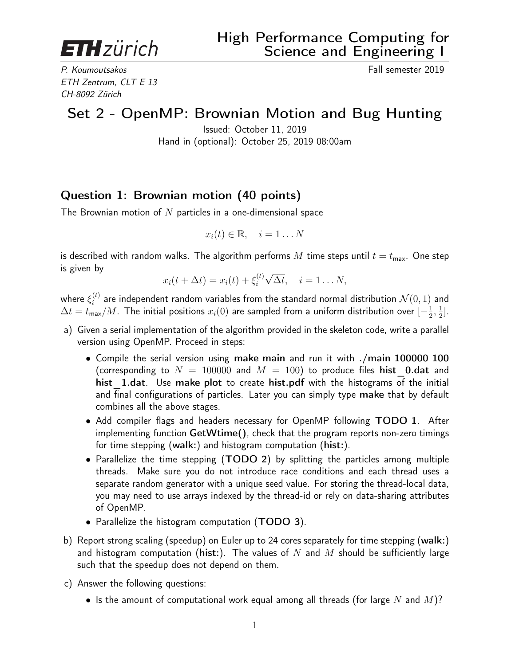**ETH** zürich

P. Koumoutsakos **Fall semester 2019** ETH Zentrum, CLT E 13 CH-8092 Zürich

## Set 2 - OpenMP: Brownian Motion and Bug Hunting

Issued: October 11, 2019 Hand in (optional): October 25, 2019 08:00am

## Question 1: Brownian motion (40 points)

The Brownian motion of  $N$  particles in a one-dimensional space

$$
x_i(t) \in \mathbb{R}, \quad i = 1 \dots N
$$

is described with random walks. The algorithm performs M time steps until  $t = t_{\text{max}}$ . One step is given by √

$$
x_i(t + \Delta t) = x_i(t) + \xi_i^{(t)} \sqrt{\Delta t}, \quad i = 1 \dots N,
$$

where  $\xi_i^{(t)}$  $i^{(t)}_i$  are independent random variables from the standard normal distribution  $\mathcal{N}(0,1)$  and  $\Delta t = t_{\sf max}/M$ . The initial positions  $x_i(0)$  are sampled from a uniform distribution over  $[-\frac{1}{2}]$  $\frac{1}{2}, \frac{1}{2}$  $\frac{1}{2}$ .

- a) Given a serial implementation of the algorithm provided in the skeleton code, write a parallel version using OpenMP. Proceed in steps:
	- Compile the serial version using make main and run it with ./main 100000 100 (corresponding to  $N = 100000$  and  $M = 100$ ) to produce files hist 0.dat and hist 1.dat. Use make plot to create hist.pdf with the histograms of the initial and final configurations of particles. Later you can simply type make that by default combines all the above stages.
	- Add compiler flags and headers necessary for OpenMP following TODO 1. After implementing function GetWtime(), check that the program reports non-zero timings for time stepping (walk:) and histogram computation (hist:).
	- Parallelize the time stepping (TODO 2) by splitting the particles among multiple threads. Make sure you do not introduce race conditions and each thread uses a separate random generator with a unique seed value. For storing the thread-local data, you may need to use arrays indexed by the thread-id or rely on data-sharing attributes of OpenMP.
	- Parallelize the histogram computation (TODO 3).
- b) Report strong scaling (speedup) on Euler up to 24 cores separately for time stepping (walk:) and histogram computation (hist:). The values of N and M should be sufficiently large such that the speedup does not depend on them.
- c) Answer the following questions:
	- Is the amount of computational work equal among all threads (for large N and  $M$ )?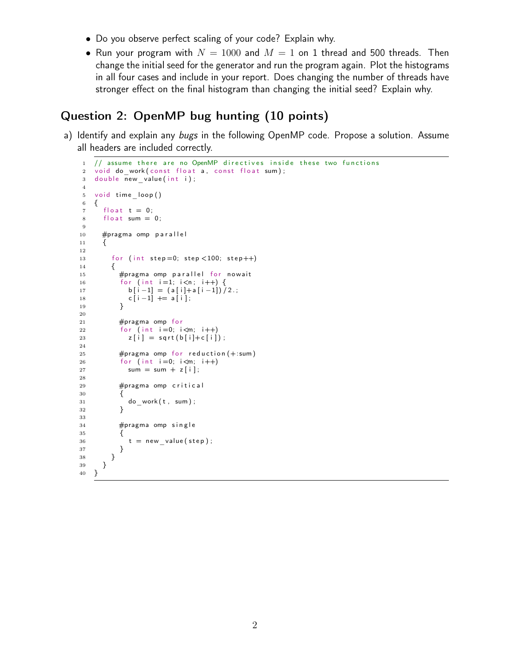- Do you observe perfect scaling of your code? Explain why.
- Run your program with  $N = 1000$  and  $M = 1$  on 1 thread and 500 threads. Then change the initial seed for the generator and run the program again. Plot the histograms in all four cases and include in your report. Does changing the number of threads have stronger effect on the final histogram than changing the initial seed? Explain why.

## Question 2: OpenMP bug hunting (10 points)

a) Identify and explain any bugs in the following OpenMP code. Propose a solution. Assume all headers are included correctly.

```
1 // assume there are no OpenMP directives inside these two functions
\overline{2} void do work ( const float a, const float sum );
3 double new value (int i);
4
5 void time loop ()
6 {
7 float t = 0;
8 float sum = 0;
9
10 #pragma omp parallel
11 {
12
13 for (int step=0; step < 100; step++)
14 {
15 #pragma omp parallel for nowait
16 for (int i=1; i<n; i++) {
17 b [i-1] = (a[i]+a[i-1])/2.;
18 c [ i -1] += a [i];19 }
20
21 #pragma omp for
22 for (int i=0; i\leq m; i++)
23 z[i] = sqrt(b[i]+c[i]);
24
25 #pragma omp for reduction (+:sum)26 for (int i=0; i\leq m; i++)
27 sum = sum + z [i];
28
29 #pragma omp critical
30 {
31 do_work(t, sum);
32 }
33
34 #pragma omp single
35 {
36 t = new value (step);
37 }
38 }
39 }
40 }
```